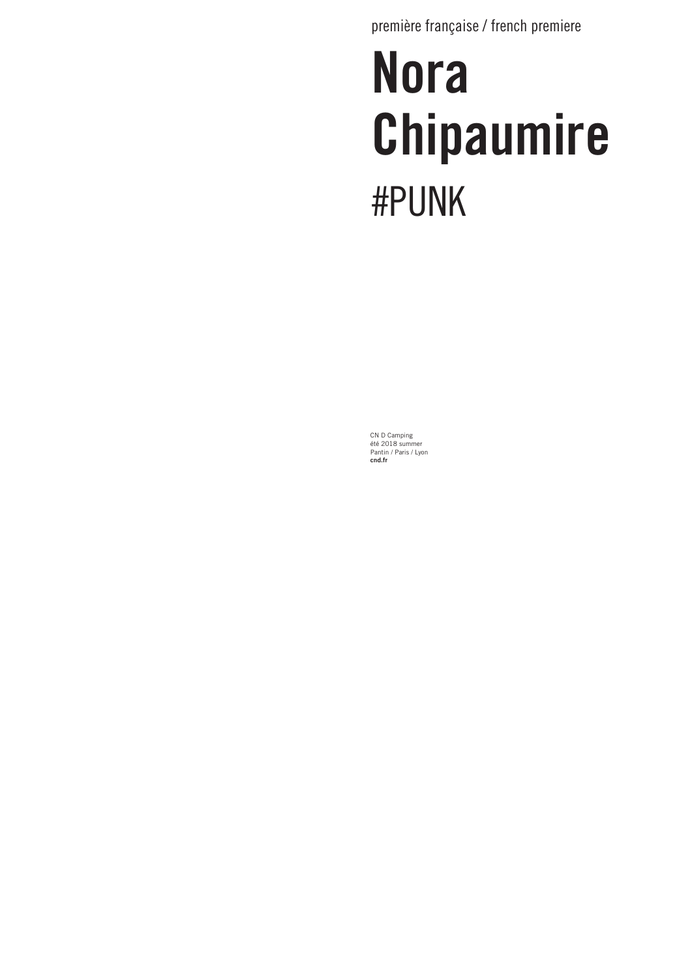première française / french premiere

# Nora Chipaumire #PUNK

CN D Camping été 2018 summer Pantin / Paris / Lyon cnd.fr